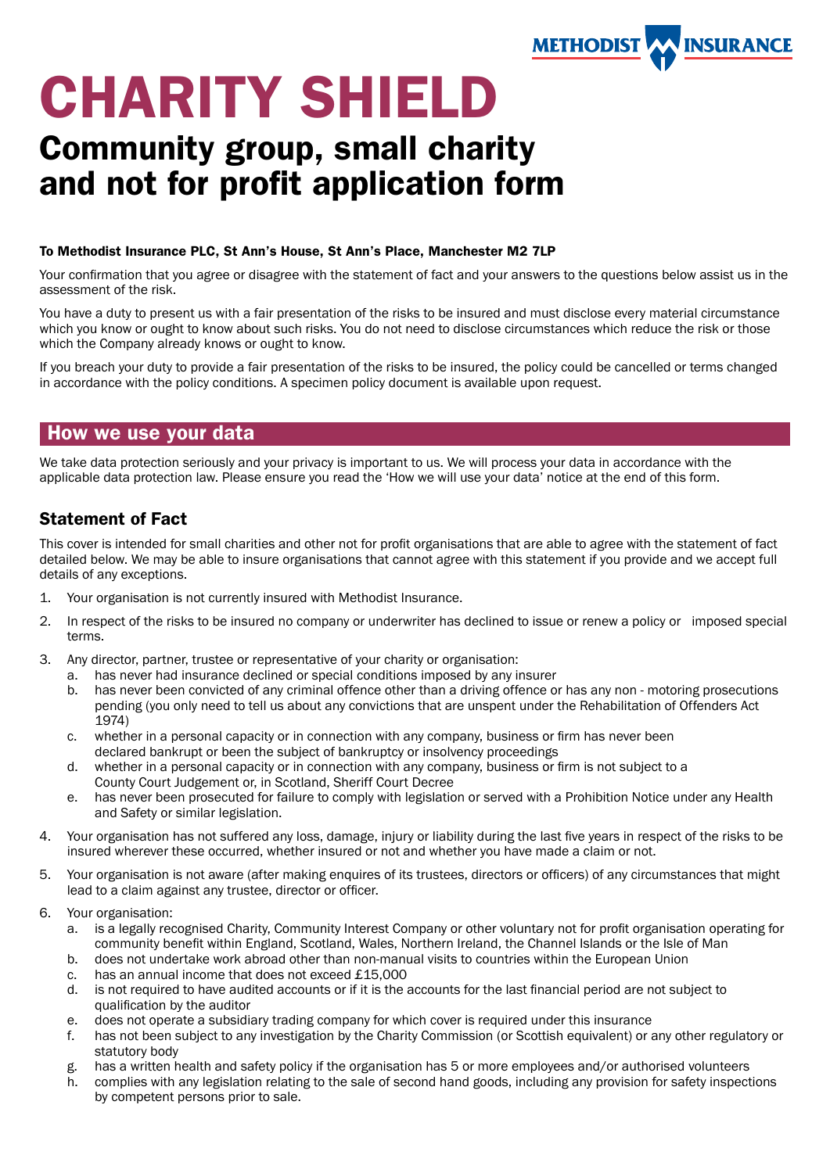

# CHARITY SHIELD

# Community group, small charity and not for profit application form

#### To Methodist Insurance PLC, St Ann's House, St Ann's Place, Manchester M2 7LP

Your confirmation that you agree or disagree with the statement of fact and your answers to the questions below assist us in the assessment of the risk.

You have a duty to present us with a fair presentation of the risks to be insured and must disclose every material circumstance which you know or ought to know about such risks. You do not need to disclose circumstances which reduce the risk or those which the Company already knows or ought to know.

If you breach your duty to provide a fair presentation of the risks to be insured, the policy could be cancelled or terms changed in accordance with the policy conditions. A specimen policy document is available upon request.

# How we use your data

We take data protection seriously and your privacy is important to us. We will process your data in accordance with the applicable data protection law. Please ensure you read the 'How we will use your data' notice at the end of this form.

# Statement of Fact

This cover is intended for small charities and other not for profit organisations that are able to agree with the statement of fact detailed below. We may be able to insure organisations that cannot agree with this statement if you provide and we accept full details of any exceptions.

- 1. Your organisation is not currently insured with Methodist Insurance.
- 2. In respect of the risks to be insured no company or underwriter has declined to issue or renew a policy or imposed special terms.
- 3. Any director, partner, trustee or representative of your charity or organisation:
	- a. has never had insurance declined or special conditions imposed by any insurer
	- b. has never been convicted of any criminal offence other than a driving offence or has any non motoring prosecutions pending (you only need to tell us about any convictions that are unspent under the Rehabilitation of Offenders Act 1974)
	- c. whether in a personal capacity or in connection with any company, business or firm has never been declared bankrupt or been the subject of bankruptcy or insolvency proceedings
	- d. whether in a personal capacity or in connection with any company, business or firm is not subject to a County Court Judgement or, in Scotland, Sheriff Court Decree
	- e. has never been prosecuted for failure to comply with legislation or served with a Prohibition Notice under any Health and Safety or similar legislation.
- 4. Your organisation has not suffered any loss, damage, injury or liability during the last five years in respect of the risks to be insured wherever these occurred, whether insured or not and whether you have made a claim or not.
- 5. Your organisation is not aware (after making enquires of its trustees, directors or officers) of any circumstances that might lead to a claim against any trustee, director or officer.
- 6. Your organisation:
	- a. is a legally recognised Charity, Community Interest Company or other voluntary not for profit organisation operating for community benefit within England, Scotland, Wales, Northern Ireland, the Channel Islands or the Isle of Man
	- b. does not undertake work abroad other than non-manual visits to countries within the European Union
	- c. has an annual income that does not exceed £15,000
	- d. is not required to have audited accounts or if it is the accounts for the last financial period are not subject to qualification by the auditor
	- e. does not operate a subsidiary trading company for which cover is required under this insurance
	- f. has not been subject to any investigation by the Charity Commission (or Scottish equivalent) or any other regulatory or statutory body
	- g. has a written health and safety policy if the organisation has 5 or more employees and/or authorised volunteers
	- h. complies with any legislation relating to the sale of second hand goods, including any provision for safety inspections by competent persons prior to sale.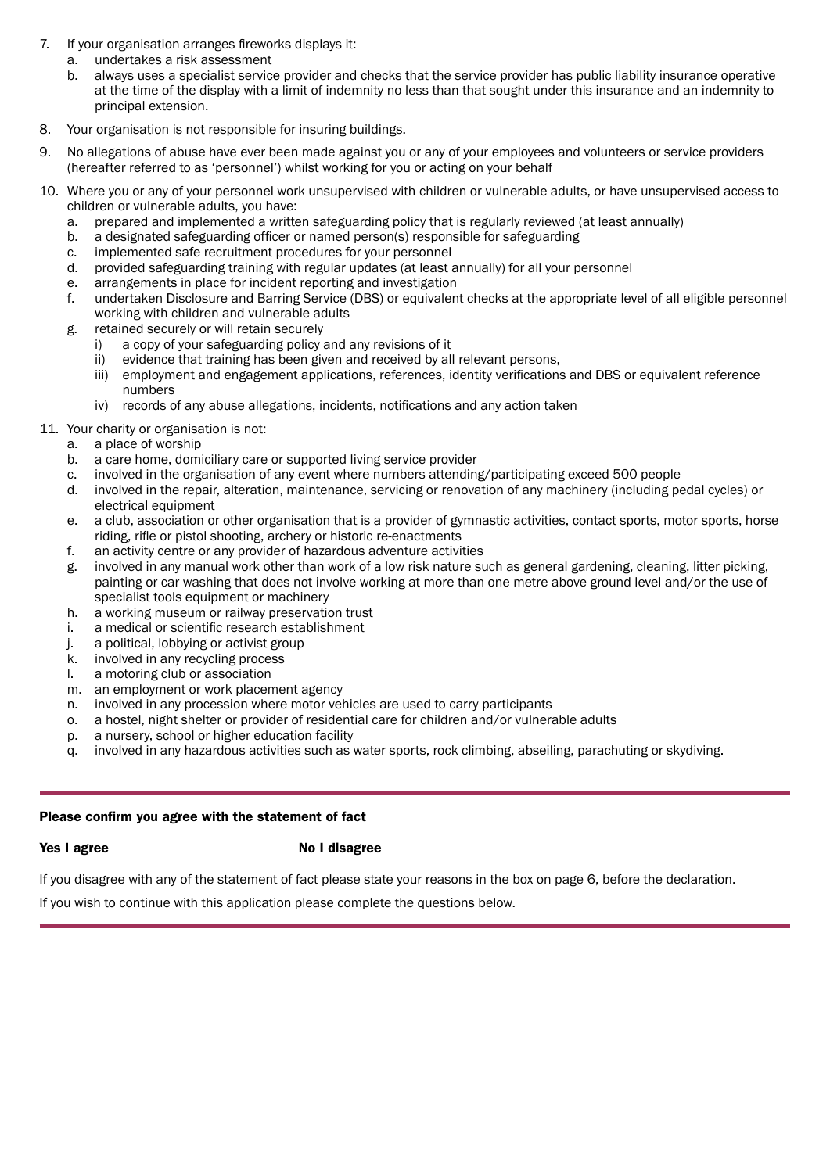- 7. If your organisation arranges fireworks displays it:
	- a. undertakes a risk assessment
	- b. always uses a specialist service provider and checks that the service provider has public liability insurance operative at the time of the display with a limit of indemnity no less than that sought under this insurance and an indemnity to principal extension.
- 8. Your organisation is not responsible for insuring buildings.
- 9. No allegations of abuse have ever been made against you or any of your employees and volunteers or service providers (hereafter referred to as 'personnel') whilst working for you or acting on your behalf
- 10. Where you or any of your personnel work unsupervised with children or vulnerable adults, or have unsupervised access to children or vulnerable adults, you have:
	- a. prepared and implemented a written safeguarding policy that is regularly reviewed (at least annually)
	- b. a designated safeguarding officer or named person(s) responsible for safeguarding
	- c. implemented safe recruitment procedures for your personnel
	- d. provided safeguarding training with regular updates (at least annually) for all your personnel
	- e. arrangements in place for incident reporting and investigation
	- f. undertaken Disclosure and Barring Service (DBS) or equivalent checks at the appropriate level of all eligible personnel working with children and vulnerable adults
	- g. retained securely or will retain securely
		- i) a copy of your safeguarding policy and any revisions of it
		- ii) evidence that training has been given and received by all relevant persons, iii) employment and engagement applications.
		- employment and engagement applications, references, identity verifications and DBS or equivalent reference numbers
		- iv) records of any abuse allegations, incidents, notifications and any action taken
- 11. Your charity or organisation is not:
	- a. a place of worship
	- b. a care home, domiciliary care or supported living service provider
	- c. involved in the organisation of any event where numbers attending/participating exceed 500 people
	- d. involved in the repair, alteration, maintenance, servicing or renovation of any machinery (including pedal cycles) or electrical equipment
	- e. a club, association or other organisation that is a provider of gymnastic activities, contact sports, motor sports, horse riding, rifle or pistol shooting, archery or historic re-enactments
	- f. an activity centre or any provider of hazardous adventure activities
	- g. involved in any manual work other than work of a low risk nature such as general gardening, cleaning, litter picking, painting or car washing that does not involve working at more than one metre above ground level and/or the use of specialist tools equipment or machinery
	- h. a working museum or railway preservation trust
	- i. a medical or scientific research establishment
	- j. a political, lobbying or activist group
	- k. involved in any recycling process
	- l. a motoring club or association
	- m. an employment or work placement agency
	- n. involved in any procession where motor vehicles are used to carry participants
	- o. a hostel, night shelter or provider of residential care for children and/or vulnerable adults
	- p. a nursery, school or higher education facility
	- q. involved in any hazardous activities such as water sports, rock climbing, abseiling, parachuting or skydiving.

#### Please confrm you agree with the statement of fact

#### Yes I agree No I disagree

If you disagree with any of the statement of fact please state your reasons in the box on page 6, before the declaration.

If you wish to continue with this application please complete the questions below.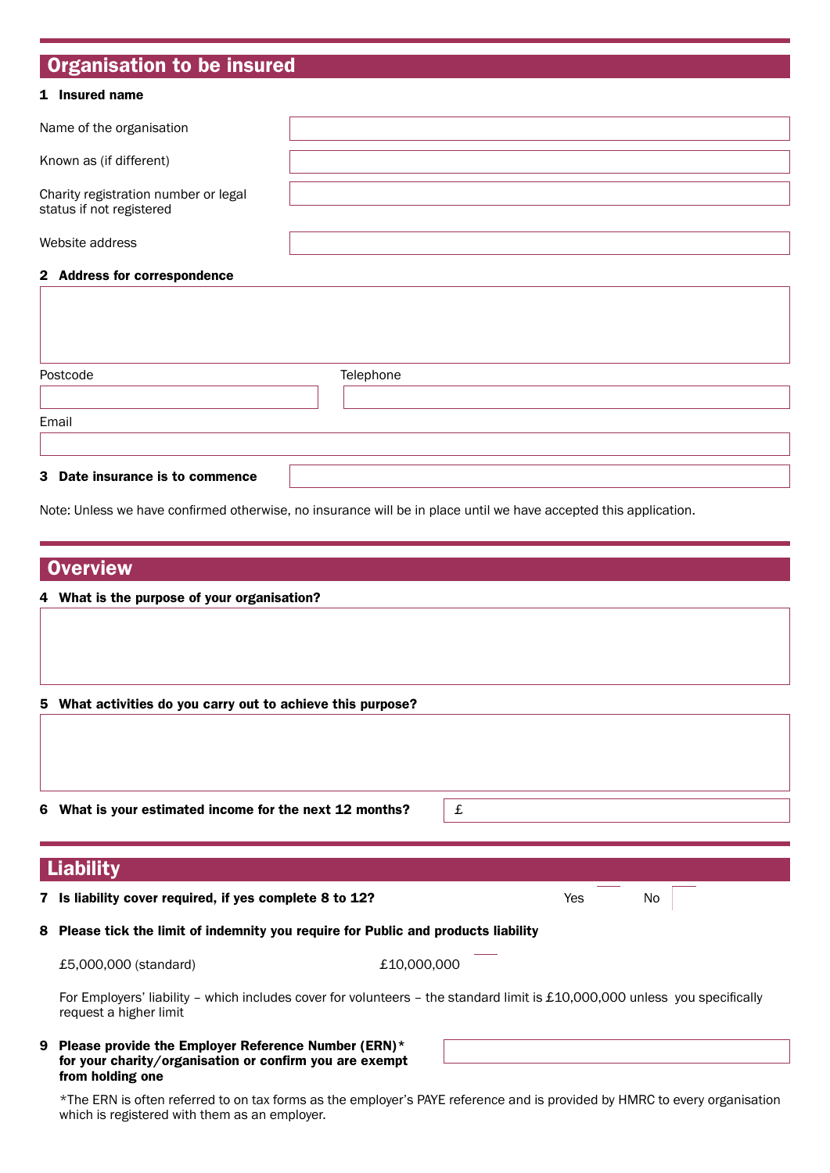# Organisation to be insured

#### 1 Insured name

| Name of the organisation                                         |  |
|------------------------------------------------------------------|--|
| Known as (if different)                                          |  |
| Charity registration number or legal<br>status if not registered |  |
| Website address                                                  |  |
| 2 Address for correspondence                                     |  |

| Postcode | Telephone |  |
|----------|-----------|--|
| Email    |           |  |
|          |           |  |

Note: Unless we have confirmed otherwise, no insurance will be in place until we have accepted this application.

### **Overview**

#### 4 What is the purpose of your organisation?

#### 5 What activities do you carry out to achieve this purpose?

| 6 What is your estimated income for the next 12 months? | £ |
|---------------------------------------------------------|---|
| <b>Liability</b>                                        |   |

### **7 Is liability cover required, if yes complete 8 to 12?** The Most Complete 8 to 12?

8 Please tick the limit of indemnity you require for Public and products liability

£5,000,000 (standard) £10,000,000

For Employers' liability – which includes cover for volunteers – the standard limit is £10,000,000 unless you specifically request a higher limit

#### 9 Please provide the Employer Reference Number (ERN)\* for your charity/organisation or confrm you are exempt from holding one

\*The ERN is often referred to on tax forms as the employer's PAYE reference and is provided by HMRC to every organisation which is registered with them as an employer.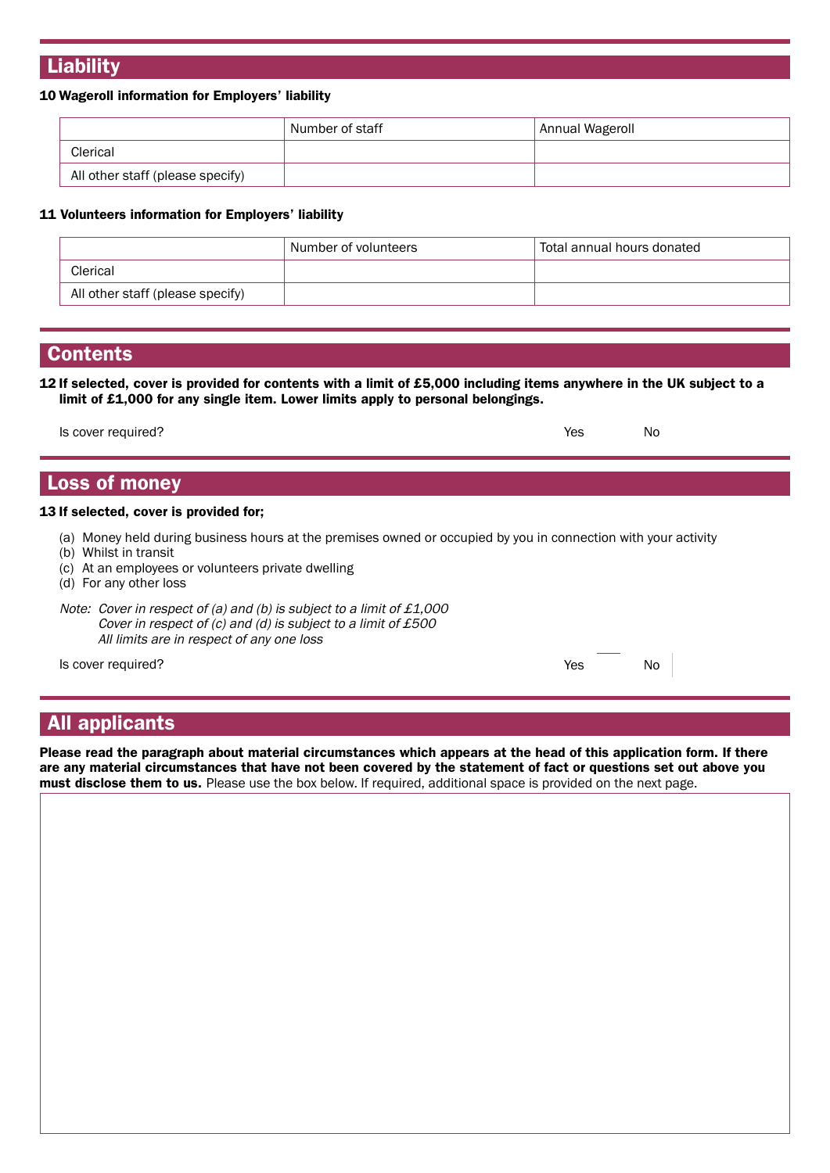# **Liability**

#### 10 Wageroll information for Employers' liability

|                                  | Number of staff | Annual Wageroll |
|----------------------------------|-----------------|-----------------|
| Clerical                         |                 |                 |
| All other staff (please specify) |                 |                 |

#### 11 Volunteers information for Employers' liability

|                                  | Number of volunteers | Total annual hours donated |
|----------------------------------|----------------------|----------------------------|
| Clerical                         |                      |                            |
| All other staff (please specify) |                      |                            |

#### **Contents**

12 If selected, cover is provided for contents with a limit of £5,000 including items anywhere in the UK subject to a limit of £1,000 for any single item. Lower limits apply to personal belongings.

| Is cover required? | Yes | No |
|--------------------|-----|----|
|--------------------|-----|----|

# Loss of money

#### 13 If selected, cover is provided for;

- (a) Money held during business hours at the premises owned or occupied by you in connection with your activity
- (b) Whilst in transit
- (c) At an employees or volunteers private dwelling

(d) For any other loss

Note: Cover in respect of (a) and (b) is subject to a limit of  $£1,000$ Cover in respect of (c) and (d) is subject to a limit of £500 All limits are in respect of any one loss

Is cover required? No research that is not contained to the set of the No research of the No research of the No

# All applicants

Please read the paragraph about material circumstances which appears at the head of this application form. If there are any material circumstances that have not been covered by the statement of fact or questions set out above you must disclose them to us. Please use the box below. If required, additional space is provided on the next page.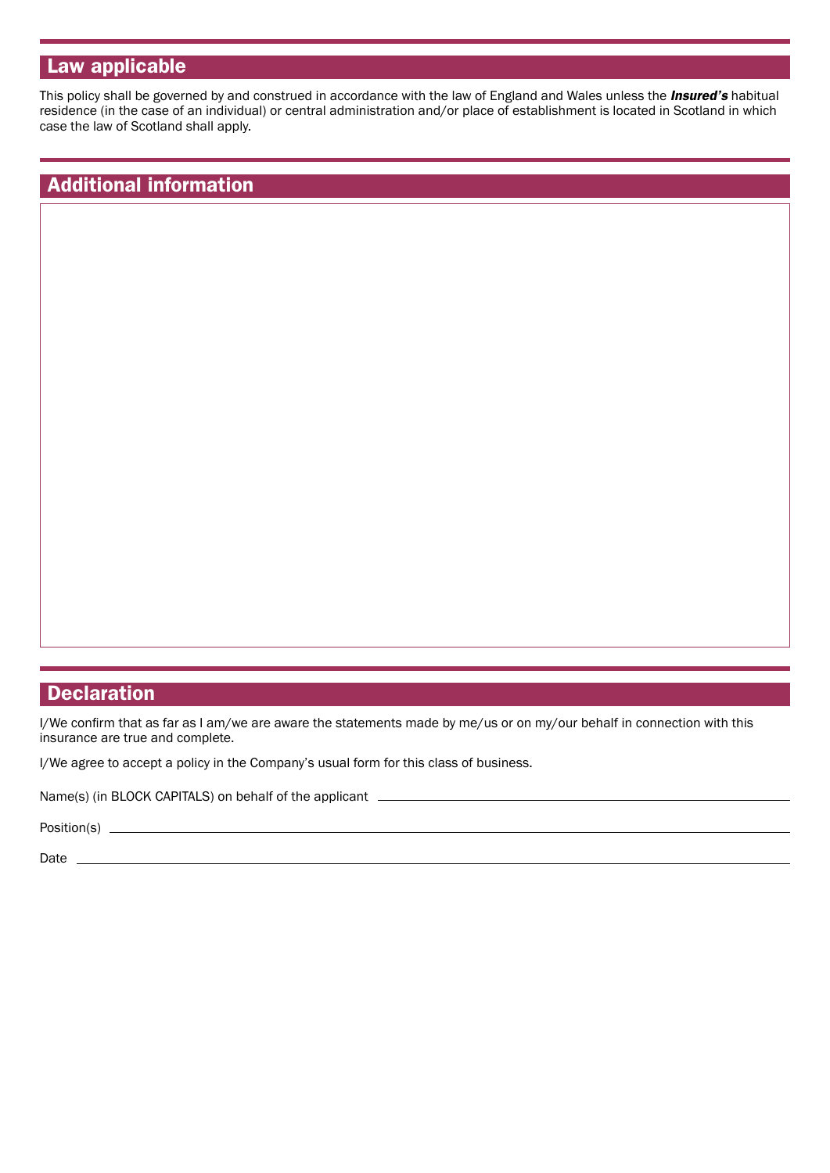# Law applicable

This policy shall be governed by and construed in accordance with the law of England and Wales unless the *Insured's* habitual residence (in the case of an individual) or central administration and/or place of establishment is located in Scotland in which case the law of Scotland shall apply.

# Additional information

# **Declaration**

I/We confirm that as far as I am/we are aware the statements made by me/us or on my/our behalf in connection with this insurance are true and complete.

I/We agree to accept a policy in the Company's usual form for this class of business.

Name(s) (in BLOCK CAPITALS) on behalf of the applicant \_

Position(s) \_

Date \_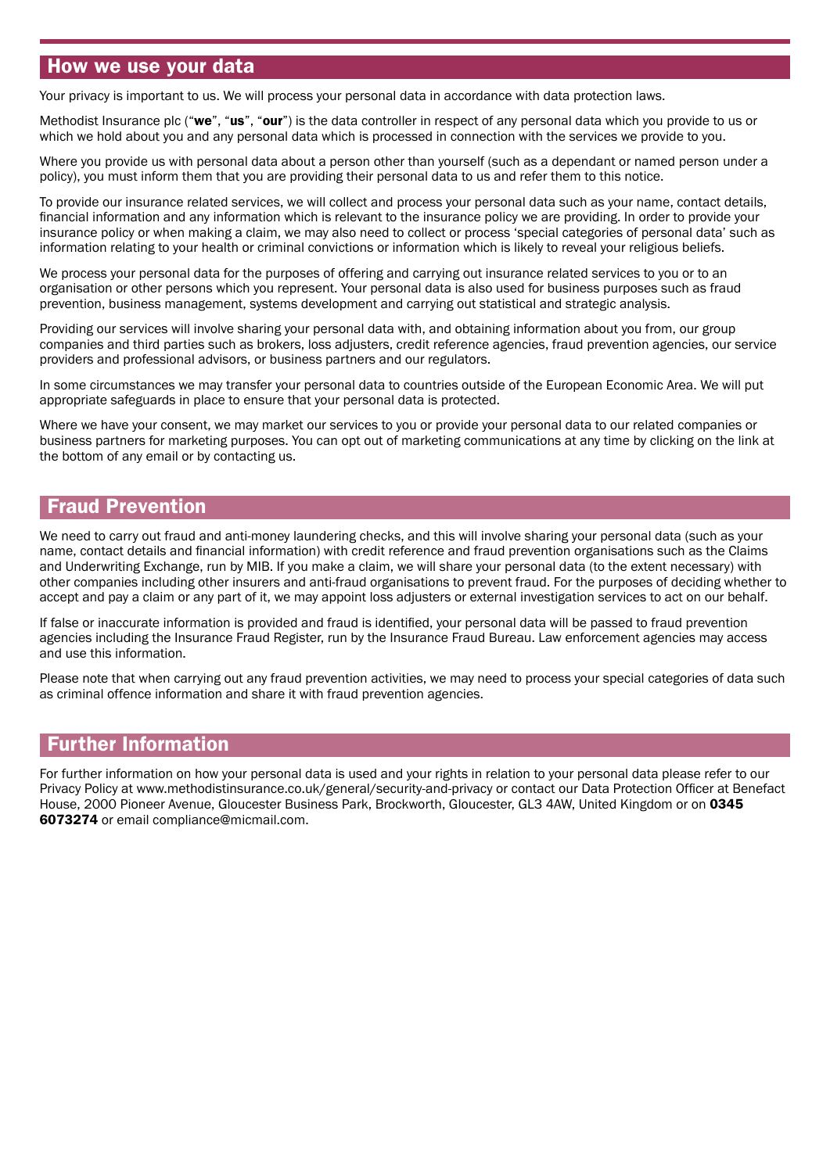# How we use your data

Your privacy is important to us. We will process your personal data in accordance with data protection laws.

Methodist Insurance plc ("we", "us", "our") is the data controller in respect of any personal data which you provide to us or which we hold about you and any personal data which is processed in connection with the services we provide to you.

Where you provide us with personal data about a person other than yourself (such as a dependant or named person under a policy), you must inform them that you are providing their personal data to us and refer them to this notice.

To provide our insurance related services, we will collect and process your personal data such as your name, contact details, financial information and any information which is relevant to the insurance policy we are providing. In order to provide your insurance policy or when making a claim, we may also need to collect or process 'special categories of personal data' such as information relating to your health or criminal convictions or information which is likely to reveal your religious beliefs.

We process your personal data for the purposes of offering and carrying out insurance related services to you or to an organisation or other persons which you represent. Your personal data is also used for business purposes such as fraud prevention, business management, systems development and carrying out statistical and strategic analysis.

Providing our services will involve sharing your personal data with, and obtaining information about you from, our group companies and third parties such as brokers, loss adjusters, credit reference agencies, fraud prevention agencies, our service providers and professional advisors, or business partners and our regulators.

In some circumstances we may transfer your personal data to countries outside of the European Economic Area. We will put appropriate safeguards in place to ensure that your personal data is protected.

Where we have your consent, we may market our services to you or provide your personal data to our related companies or business partners for marketing purposes. You can opt out of marketing communications at any time by clicking on the link at the bottom of any email or by contacting us.

# Fraud Prevention

We need to carry out fraud and anti-money laundering checks, and this will involve sharing your personal data (such as your name, contact details and financial information) with credit reference and fraud prevention organisations such as the Claims and Underwriting Exchange, run by MIB. If you make a claim, we will share your personal data (to the extent necessary) with other companies including other insurers and anti-fraud organisations to prevent fraud. For the purposes of deciding whether to accept and pay a claim or any part of it, we may appoint loss adjusters or external investigation services to act on our behalf.

If false or inaccurate information is provided and fraud is identified, your personal data will be passed to fraud prevention agencies including the Insurance Fraud Register, run by the Insurance Fraud Bureau. Law enforcement agencies may access and use this information.

Please note that when carrying out any fraud prevention activities, we may need to process your special categories of data such as criminal offence information and share it with fraud prevention agencies.

# Further Information

For further information on how your personal data is used and your rights in relation to your personal data please refer to our Privacy Policy at <www.methodistinsurance.co.uk/general/security-and-privacy> or contact our Data Protection Officer at Benefact House, 2000 Pioneer Avenue, Gloucester Business Park, Brockworth, Gloucester, GL3 4AW, United Kingdom or on 0345 6073274 or email [compliance@micmail.com](mailto:compliance@micmail.com).